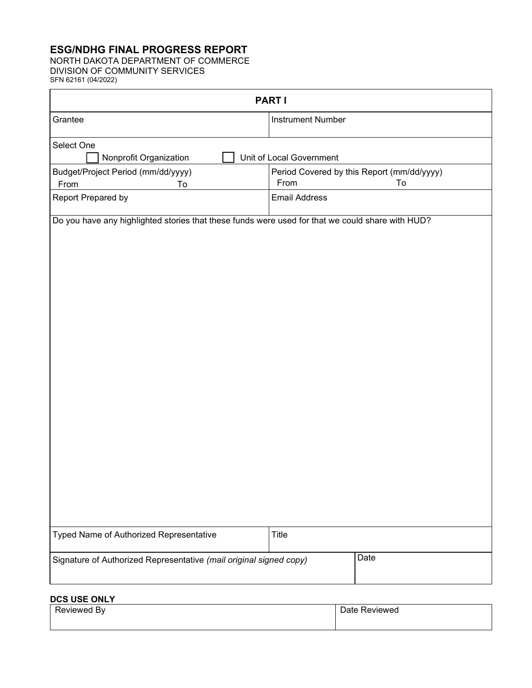# **ESG/NDHG FINAL PROGRESS REPORT**

NORTH DAKOTA DEPARTMENT OF COMMERCE DIVISION OF COMMUNITY SERVICES SFN 62161 (04/2022)

| <b>PARTI</b>                                                                                     |                                                                        |  |  |  |
|--------------------------------------------------------------------------------------------------|------------------------------------------------------------------------|--|--|--|
| Grantee                                                                                          | <b>Instrument Number</b>                                               |  |  |  |
| Select One                                                                                       |                                                                        |  |  |  |
| Nonprofit Organization<br>Budget/Project Period (mm/dd/yyyy)                                     | Unit of Local Government<br>Period Covered by this Report (mm/dd/yyyy) |  |  |  |
| From<br>To<br>Report Prepared by                                                                 | To<br>From<br><b>Email Address</b>                                     |  |  |  |
| Do you have any highlighted stories that these funds were used for that we could share with HUD? |                                                                        |  |  |  |
| Typed Name of Authorized Representative                                                          | Title                                                                  |  |  |  |
| Signature of Authorized Representative (mail original signed copy)                               | Date                                                                   |  |  |  |

### **DCS USE ONLY**

| ∍<br>By<br>.<br>llewed. | $\overline{\phantom{0}}$<br>Reviewed<br>11 H |
|-------------------------|----------------------------------------------|
|                         |                                              |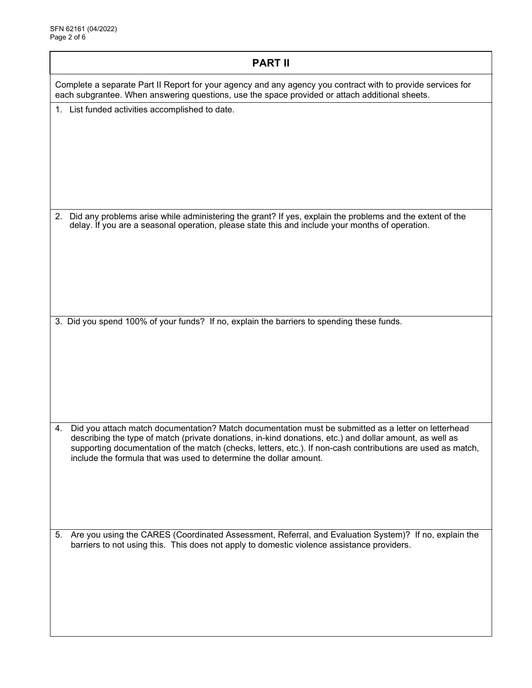| <b>PART II</b>                                                                                                                                                                                                                                                                                                                                                                                           |  |  |  |  |
|----------------------------------------------------------------------------------------------------------------------------------------------------------------------------------------------------------------------------------------------------------------------------------------------------------------------------------------------------------------------------------------------------------|--|--|--|--|
| Complete a separate Part II Report for your agency and any agency you contract with to provide services for<br>each subgrantee. When answering questions, use the space provided or attach additional sheets.                                                                                                                                                                                            |  |  |  |  |
| 1. List funded activities accomplished to date.                                                                                                                                                                                                                                                                                                                                                          |  |  |  |  |
| 2. Did any problems arise while administering the grant? If yes, explain the problems and the extent of the<br>delay. If you are a seasonal operation, please state this and include your months of operation.                                                                                                                                                                                           |  |  |  |  |
| 3. Did you spend 100% of your funds? If no, explain the barriers to spending these funds.                                                                                                                                                                                                                                                                                                                |  |  |  |  |
| Did you attach match documentation? Match documentation must be submitted as a letter on letterhead<br>4.<br>describing the type of match (private donations, in-kind donations, etc.) and dollar amount, as well as<br>supporting documentation of the match (checks, letters, etc.). If non-cash contributions are used as match,<br>include the formula that was used to determine the dollar amount. |  |  |  |  |
| 5. Are you using the CARES (Coordinated Assessment, Referral, and Evaluation System)? If no, explain the<br>barriers to not using this. This does not apply to domestic violence assistance providers.                                                                                                                                                                                                   |  |  |  |  |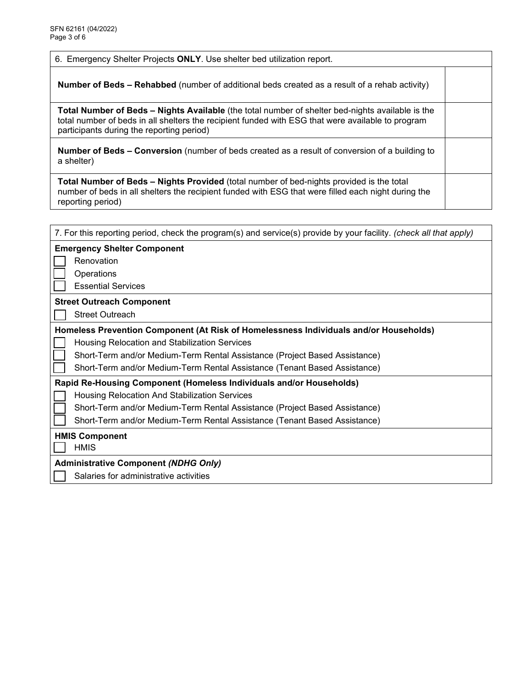6. Emergency Shelter Projects **ONLY**. Use shelter bed utilization report.

**Number of Beds – Rehabbed** (number of additional beds created as a result of a rehab activity)

**Total Number of Beds – Nights Available** (the total number of shelter bed-nights available is the total number of beds in all shelters the recipient funded with ESG that were available to program participants during the reporting period)

**Number of Beds – Conversion** (number of beds created as a result of conversion of a building to a shelter)

**Total Number of Beds – Nights Provided** (total number of bed-nights provided is the total number of beds in all shelters the recipient funded with ESG that were filled each night during the reporting period)

| 7. For this reporting period, check the program(s) and service(s) provide by your facility. (check all that apply) |  |  |  |  |
|--------------------------------------------------------------------------------------------------------------------|--|--|--|--|
| <b>Emergency Shelter Component</b>                                                                                 |  |  |  |  |
| Renovation                                                                                                         |  |  |  |  |
| Operations                                                                                                         |  |  |  |  |
| <b>Essential Services</b>                                                                                          |  |  |  |  |
| <b>Street Outreach Component</b>                                                                                   |  |  |  |  |
| <b>Street Outreach</b>                                                                                             |  |  |  |  |
| Homeless Prevention Component (At Risk of Homelessness Individuals and/or Households)                              |  |  |  |  |
| Housing Relocation and Stabilization Services                                                                      |  |  |  |  |
| Short-Term and/or Medium-Term Rental Assistance (Project Based Assistance)                                         |  |  |  |  |
| Short-Term and/or Medium-Term Rental Assistance (Tenant Based Assistance)                                          |  |  |  |  |
| Rapid Re-Housing Component (Homeless Individuals and/or Households)                                                |  |  |  |  |
| Housing Relocation And Stabilization Services                                                                      |  |  |  |  |
| Short-Term and/or Medium-Term Rental Assistance (Project Based Assistance)                                         |  |  |  |  |
| Short-Term and/or Medium-Term Rental Assistance (Tenant Based Assistance)                                          |  |  |  |  |
| <b>HMIS Component</b>                                                                                              |  |  |  |  |
| <b>HMIS</b>                                                                                                        |  |  |  |  |
| <b>Administrative Component (NDHG Only)</b>                                                                        |  |  |  |  |
| Salaries for administrative activities                                                                             |  |  |  |  |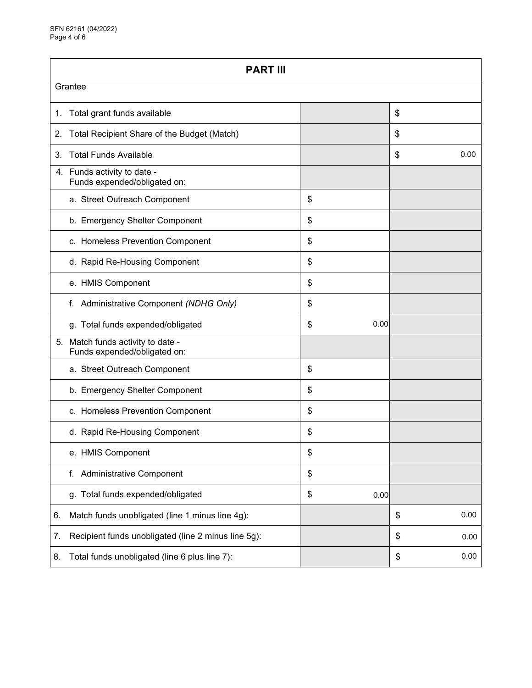| <b>PART III</b>                                                   |    |      |    |      |  |
|-------------------------------------------------------------------|----|------|----|------|--|
| Grantee                                                           |    |      |    |      |  |
| Total grant funds available<br>1.                                 |    |      | \$ |      |  |
| Total Recipient Share of the Budget (Match)<br>2.                 |    |      | \$ |      |  |
| <b>Total Funds Available</b><br>3.                                |    |      | \$ | 0.00 |  |
| 4. Funds activity to date -<br>Funds expended/obligated on:       |    |      |    |      |  |
| a. Street Outreach Component                                      | \$ |      |    |      |  |
| b. Emergency Shelter Component                                    | \$ |      |    |      |  |
| c. Homeless Prevention Component                                  | \$ |      |    |      |  |
| d. Rapid Re-Housing Component                                     | \$ |      |    |      |  |
| e. HMIS Component                                                 | \$ |      |    |      |  |
| Administrative Component (NDHG Only)<br>f.                        | \$ |      |    |      |  |
| g. Total funds expended/obligated                                 | \$ | 0.00 |    |      |  |
| 5. Match funds activity to date -<br>Funds expended/obligated on: |    |      |    |      |  |
| a. Street Outreach Component                                      | \$ |      |    |      |  |
| b. Emergency Shelter Component                                    | \$ |      |    |      |  |
| c. Homeless Prevention Component                                  | \$ |      |    |      |  |
| d. Rapid Re-Housing Component                                     | \$ |      |    |      |  |
| e. HMIS Component                                                 | \$ |      |    |      |  |
| <b>Administrative Component</b><br>f.                             | \$ |      |    |      |  |
| g. Total funds expended/obligated                                 | \$ | 0.00 |    |      |  |
| Match funds unobligated (line 1 minus line 4g):<br>6.             |    |      | \$ | 0.00 |  |
| Recipient funds unobligated (line 2 minus line 5g):<br>7.         |    |      | \$ | 0.00 |  |
| Total funds unobligated (line 6 plus line 7):<br>8.               |    |      | \$ | 0.00 |  |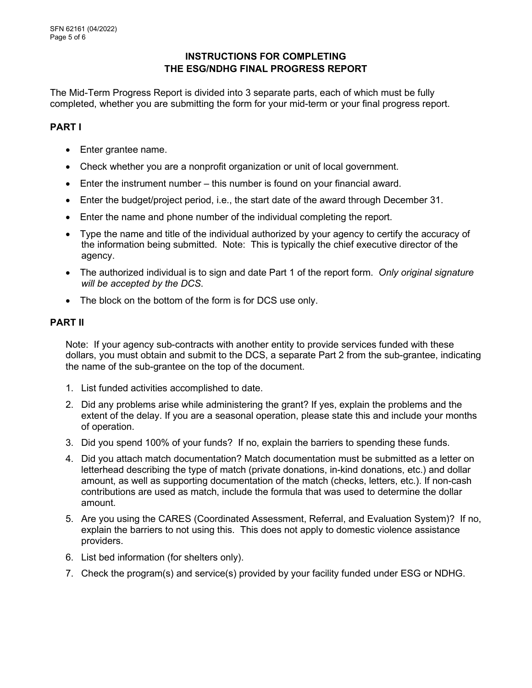### **INSTRUCTIONS FOR COMPLETING THE ESG/NDHG FINAL PROGRESS REPORT**

The Mid-Term Progress Report is divided into 3 separate parts, each of which must be fully completed, whether you are submitting the form for your mid-term or your final progress report.

### **PART I**

- Enter grantee name.
- Check whether you are a nonprofit organization or unit of local government.
- Enter the instrument number this number is found on your financial award.
- Enter the budget/project period, i.e., the start date of the award through December 31.
- Enter the name and phone number of the individual completing the report.
- Type the name and title of the individual authorized by your agency to certify the accuracy of the information being submitted. Note: This is typically the chief executive director of the agency.
- The authorized individual is to sign and date Part 1 of the report form. *Only original signature will be accepted by the DCS*.
- The block on the bottom of the form is for DCS use only.

#### **PART II**

Note: If your agency sub-contracts with another entity to provide services funded with these dollars, you must obtain and submit to the DCS, a separate Part 2 from the sub-grantee, indicating the name of the sub-grantee on the top of the document.

- 1. List funded activities accomplished to date.
- 2. Did any problems arise while administering the grant? If yes, explain the problems and the extent of the delay. If you are a seasonal operation, please state this and include your months of operation.
- 3. Did you spend 100% of your funds? If no, explain the barriers to spending these funds.
- 4. Did you attach match documentation? Match documentation must be submitted as a letter on letterhead describing the type of match (private donations, in-kind donations, etc.) and dollar amount, as well as supporting documentation of the match (checks, letters, etc.). If non-cash contributions are used as match, include the formula that was used to determine the dollar amount.
- 5. Are you using the CARES (Coordinated Assessment, Referral, and Evaluation System)? If no, explain the barriers to not using this. This does not apply to domestic violence assistance providers.
- 6. List bed information (for shelters only).
- 7. Check the program(s) and service(s) provided by your facility funded under ESG or NDHG.